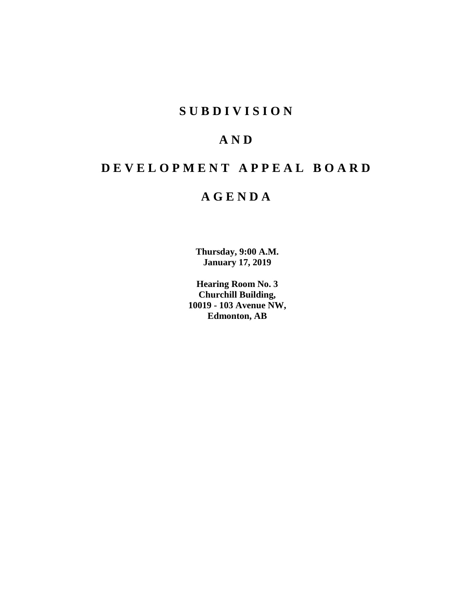# **SUBDIVISION**

# **AND**

# **DEVELOPMENT APPEAL BOARD**

# **AGENDA**

**Thursday, 9:00 A.M. January 17, 2019**

**Hearing Room No. 3 Churchill Building, 10019 - 103 Avenue NW, Edmonton, AB**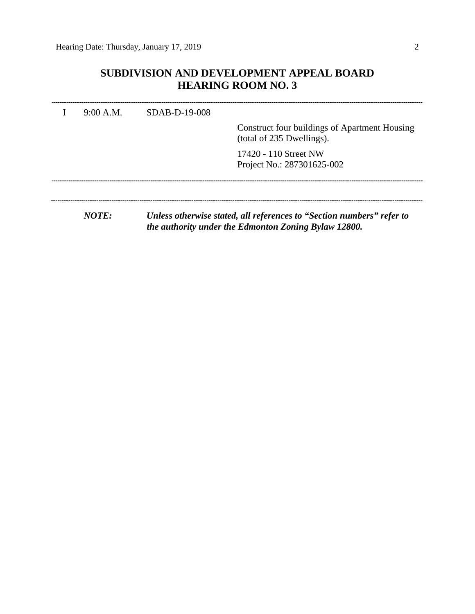# **SUBDIVISION AND DEVELOPMENT APPEAL BOARD HEARING ROOM NO. 3**

| 9:00 A.M. | $SDAB-D-19-008$ | Construct four buildings of Apartment Housing<br>(total of 235 Dwellings).                                                    |
|-----------|-----------------|-------------------------------------------------------------------------------------------------------------------------------|
|           |                 | 17420 - 110 Street NW<br>Project No.: 287301625-002                                                                           |
| NOTF:     |                 | Unless otherwise stated, all references to "Section numbers" refer to<br>the authority under the Edmonton Zoning Bylaw 12800. |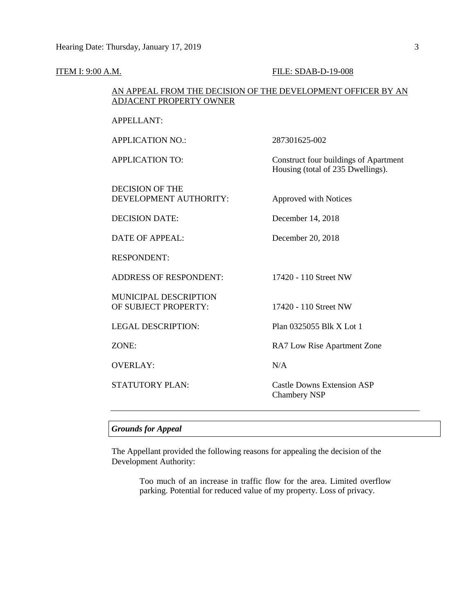| ADJACENT PROPERTY OWNER                              | AN APPEAL FROM THE DECISION OF THE DEVELOPMENT OFFICER BY AN               |
|------------------------------------------------------|----------------------------------------------------------------------------|
| <b>APPELLANT:</b>                                    |                                                                            |
| <b>APPLICATION NO.:</b>                              | 287301625-002                                                              |
| <b>APPLICATION TO:</b>                               | Construct four buildings of Apartment<br>Housing (total of 235 Dwellings). |
| <b>DECISION OF THE</b><br>DEVELOPMENT AUTHORITY:     | Approved with Notices                                                      |
| <b>DECISION DATE:</b>                                | December 14, 2018                                                          |
| DATE OF APPEAL:                                      | December 20, 2018                                                          |
| <b>RESPONDENT:</b>                                   |                                                                            |
| <b>ADDRESS OF RESPONDENT:</b>                        | 17420 - 110 Street NW                                                      |
| <b>MUNICIPAL DESCRIPTION</b><br>OF SUBJECT PROPERTY: | 17420 - 110 Street NW                                                      |
| <b>LEGAL DESCRIPTION:</b>                            | Plan 0325055 Blk X Lot 1                                                   |
| ZONE:                                                | RA7 Low Rise Apartment Zone                                                |
| <b>OVERLAY:</b>                                      | N/A                                                                        |
| <b>STATUTORY PLAN:</b>                               | <b>Castle Downs Extension ASP</b><br><b>Chambery NSP</b>                   |

# *Grounds for Appeal*

The Appellant provided the following reasons for appealing the decision of the Development Authority:

> Too much of an increase in traffic flow for the area. Limited overflow parking. Potential for reduced value of my property. Loss of privacy.

## **ITEM I: 9:00 A.M. FILE: SDAB-D-19-008**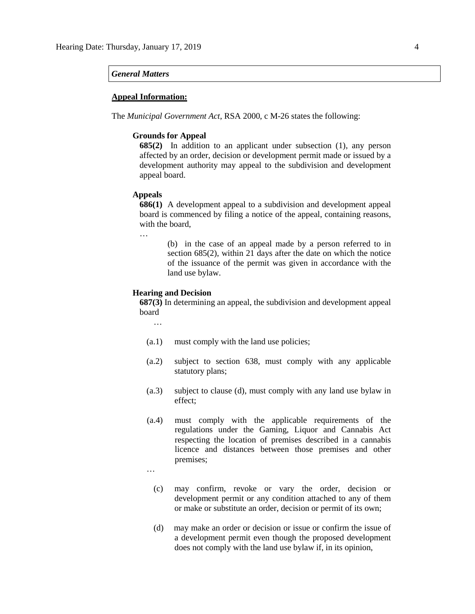#### *General Matters*

### **Appeal Information:**

The *Municipal Government Act*, RSA 2000, c M-26 states the following:

## **Grounds for Appeal**

**685(2)** In addition to an applicant under subsection (1), any person affected by an order, decision or development permit made or issued by a development authority may appeal to the subdivision and development appeal board.

#### **Appeals**

**686(1)** A development appeal to a subdivision and development appeal board is commenced by filing a notice of the appeal, containing reasons, with the board,

…

(b) in the case of an appeal made by a person referred to in section 685(2), within 21 days after the date on which the notice of the issuance of the permit was given in accordance with the land use bylaw.

## **Hearing and Decision**

**687(3)** In determining an appeal, the subdivision and development appeal board

…

- (a.1) must comply with the land use policies;
- (a.2) subject to section 638, must comply with any applicable statutory plans;
- (a.3) subject to clause (d), must comply with any land use bylaw in effect;
- (a.4) must comply with the applicable requirements of the regulations under the Gaming, Liquor and Cannabis Act respecting the location of premises described in a cannabis licence and distances between those premises and other premises;

…

- (c) may confirm, revoke or vary the order, decision or development permit or any condition attached to any of them or make or substitute an order, decision or permit of its own;
- (d) may make an order or decision or issue or confirm the issue of a development permit even though the proposed development does not comply with the land use bylaw if, in its opinion,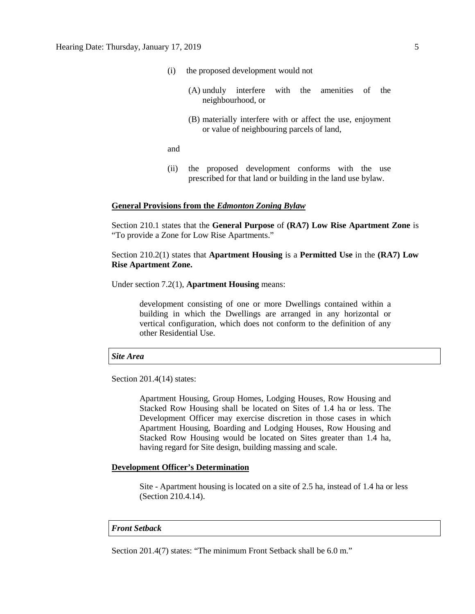- (i) the proposed development would not
	- (A) unduly interfere with the amenities of the neighbourhood, or
	- (B) materially interfere with or affect the use, enjoyment or value of neighbouring parcels of land,

and

(ii) the proposed development conforms with the use prescribed for that land or building in the land use bylaw.

## **General Provisions from the** *Edmonton Zoning Bylaw*

Section 210.1 states that the **General Purpose** of **(RA7) Low Rise Apartment Zone** is "To provide a Zone for Low Rise Apartments."

Section 210.2(1) states that **Apartment Housing** is a **Permitted Use** in the **(RA7) Low Rise Apartment Zone.** 

Under section 7.2(1), **Apartment Housing** means:

development consisting of one or more Dwellings contained within a building in which the Dwellings are arranged in any horizontal or vertical configuration, which does not conform to the definition of any other Residential Use.

### *Site Area*

Section 201.4(14) states:

Apartment Housing, Group Homes, Lodging Houses, Row Housing and Stacked Row Housing shall be located on Sites of 1.4 ha or less. The Development Officer may exercise discretion in those cases in which Apartment Housing, Boarding and Lodging Houses, Row Housing and Stacked Row Housing would be located on Sites greater than 1.4 ha, having regard for Site design, building massing and scale.

### **Development Officer's Determination**

Site - Apartment housing is located on a site of 2.5 ha, instead of 1.4 ha or less (Section 210.4.14).

### *Front Setback*

Section 201.4(7) states: "The minimum Front Setback shall be 6.0 m."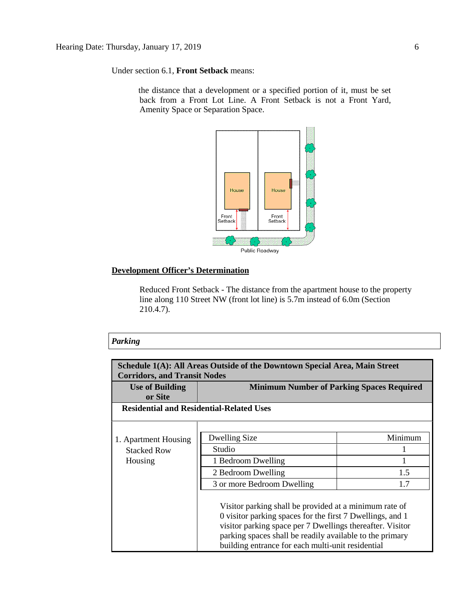Under section 6.1, **Front Setback** means:

the distance that a development or a specified portion of it, must be set back from a Front Lot Line. A Front Setback is not a Front Yard, Amenity Space or Separation Space.



## **Development Officer's Determination**

Reduced Front Setback - The distance from the apartment house to the property line along 110 Street NW (front lot line) is 5.7m instead of 6.0m (Section 210.4.7).

# *Parking*

| Schedule 1(A): All Areas Outside of the Downtown Special Area, Main Street<br><b>Corridors, and Transit Nodes</b> |                                                                                                                                                                                                                                                                                                   |         |  |  |
|-------------------------------------------------------------------------------------------------------------------|---------------------------------------------------------------------------------------------------------------------------------------------------------------------------------------------------------------------------------------------------------------------------------------------------|---------|--|--|
| <b>Use of Building</b><br>or Site                                                                                 | <b>Minimum Number of Parking Spaces Required</b>                                                                                                                                                                                                                                                  |         |  |  |
| <b>Residential and Residential-Related Uses</b>                                                                   |                                                                                                                                                                                                                                                                                                   |         |  |  |
|                                                                                                                   |                                                                                                                                                                                                                                                                                                   |         |  |  |
| 1. Apartment Housing                                                                                              | Dwelling Size                                                                                                                                                                                                                                                                                     | Minimum |  |  |
| <b>Stacked Row</b>                                                                                                | Studio                                                                                                                                                                                                                                                                                            |         |  |  |
| Housing                                                                                                           | 1 Bedroom Dwelling                                                                                                                                                                                                                                                                                |         |  |  |
|                                                                                                                   | 2 Bedroom Dwelling                                                                                                                                                                                                                                                                                | 1.5     |  |  |
|                                                                                                                   | 3 or more Bedroom Dwelling                                                                                                                                                                                                                                                                        | 1.7     |  |  |
|                                                                                                                   | Visitor parking shall be provided at a minimum rate of<br>0 visitor parking spaces for the first 7 Dwellings, and 1<br>visitor parking space per 7 Dwellings thereafter. Visitor<br>parking spaces shall be readily available to the primary<br>building entrance for each multi-unit residential |         |  |  |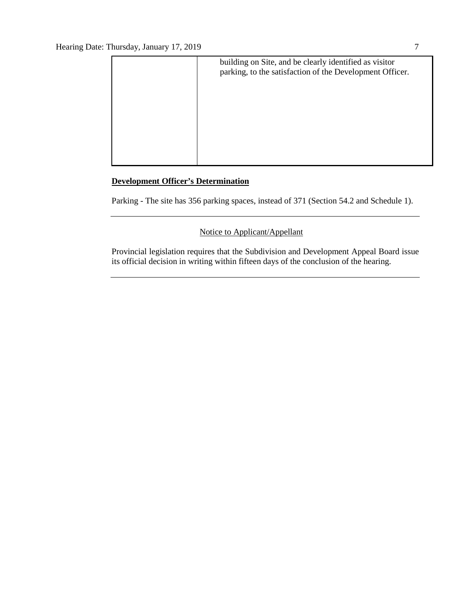

# **Development Officer's Determination**

Parking - The site has 356 parking spaces, instead of 371 (Section 54.2 and Schedule 1).

# Notice to Applicant/Appellant

Provincial legislation requires that the Subdivision and Development Appeal Board issue its official decision in writing within fifteen days of the conclusion of the hearing.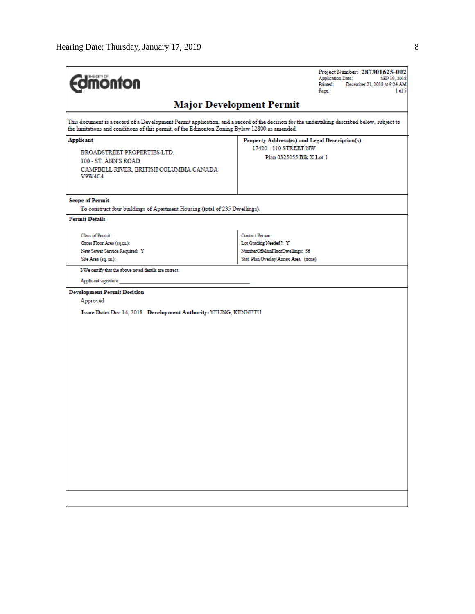| <b>Fdmonton</b>                                                                                                                                                                                                                              | Project Number: 287301625-002<br><b>Application Date:</b><br>SEP 19, 2018<br>Printed:<br>December 21, 2018 at 9:24 AM<br>Page:<br>1 of 5 |
|----------------------------------------------------------------------------------------------------------------------------------------------------------------------------------------------------------------------------------------------|------------------------------------------------------------------------------------------------------------------------------------------|
|                                                                                                                                                                                                                                              | <b>Major Development Permit</b>                                                                                                          |
| This document is a record of a Development Permit application, and a record of the decision for the undertaking described below, subject to<br>the limitations and conditions of this permit, of the Edmonton Zoning Bylaw 12800 as amended. |                                                                                                                                          |
| <b>Applicant</b>                                                                                                                                                                                                                             | Property Address(es) and Legal Description(s)                                                                                            |
| BROADSTREET PROPERTIES LTD.                                                                                                                                                                                                                  | 17420 - 110 STREET NW<br>Plan 0325055 Blk X Lot 1                                                                                        |
| 100 - ST. ANN'S ROAD                                                                                                                                                                                                                         |                                                                                                                                          |
| CAMPBELL RIVER, BRITISH COLUMBIA CANADA<br>V9W4C4                                                                                                                                                                                            |                                                                                                                                          |
| <b>Scope of Permit</b>                                                                                                                                                                                                                       |                                                                                                                                          |
| To construct four buildings of Apartment Housing (total of 235 Dwellings).                                                                                                                                                                   |                                                                                                                                          |
| <b>Permit Details</b>                                                                                                                                                                                                                        |                                                                                                                                          |
| <b>Class of Permit:</b>                                                                                                                                                                                                                      | Contact Person:                                                                                                                          |
| Gross Floor Area (sq.m.):                                                                                                                                                                                                                    | Lot Grading Needed?: Y                                                                                                                   |
| New Sewer Service Required: Y                                                                                                                                                                                                                | NumberOfMainFloorDwellings: 56                                                                                                           |
| Site Area (sq. m.):                                                                                                                                                                                                                          | Stat. Plan Overlay/Annex Area: (none)                                                                                                    |
| I/We certify that the above noted details are correct.                                                                                                                                                                                       |                                                                                                                                          |
| Applicant signature:                                                                                                                                                                                                                         |                                                                                                                                          |
| <b>Development Permit Decision</b>                                                                                                                                                                                                           |                                                                                                                                          |
| Approved                                                                                                                                                                                                                                     |                                                                                                                                          |
| Issue Date: Dec 14, 2018 Development Authority: YEUNG, KENNETH                                                                                                                                                                               |                                                                                                                                          |
|                                                                                                                                                                                                                                              |                                                                                                                                          |
|                                                                                                                                                                                                                                              |                                                                                                                                          |
|                                                                                                                                                                                                                                              |                                                                                                                                          |
|                                                                                                                                                                                                                                              |                                                                                                                                          |
|                                                                                                                                                                                                                                              |                                                                                                                                          |
|                                                                                                                                                                                                                                              |                                                                                                                                          |
|                                                                                                                                                                                                                                              |                                                                                                                                          |
|                                                                                                                                                                                                                                              |                                                                                                                                          |
|                                                                                                                                                                                                                                              |                                                                                                                                          |
|                                                                                                                                                                                                                                              |                                                                                                                                          |
|                                                                                                                                                                                                                                              |                                                                                                                                          |
|                                                                                                                                                                                                                                              |                                                                                                                                          |
|                                                                                                                                                                                                                                              |                                                                                                                                          |
|                                                                                                                                                                                                                                              |                                                                                                                                          |
|                                                                                                                                                                                                                                              |                                                                                                                                          |
|                                                                                                                                                                                                                                              |                                                                                                                                          |
|                                                                                                                                                                                                                                              |                                                                                                                                          |
|                                                                                                                                                                                                                                              |                                                                                                                                          |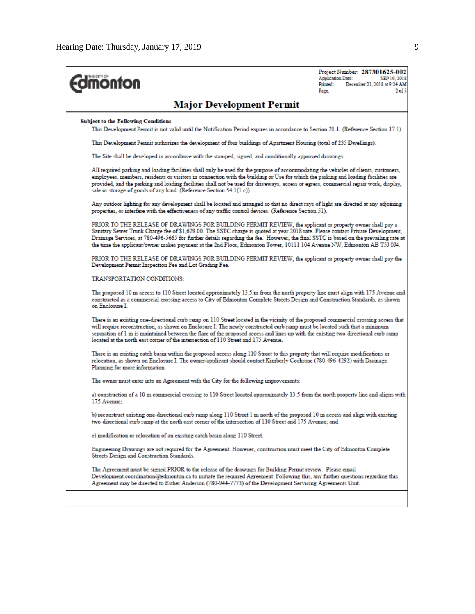| <b><i><u><u>monton</u></u></i></b>                                                                                                                                                                                                                                                                                                                                                                                                                                                                            | Project Number: 287301625-002<br><b>Application Date:</b><br>SEP 19, 2018<br>Printed:<br>December 21, 2018 at 9:24 AM<br>2 <sub>of</sub><br>Page: |
|---------------------------------------------------------------------------------------------------------------------------------------------------------------------------------------------------------------------------------------------------------------------------------------------------------------------------------------------------------------------------------------------------------------------------------------------------------------------------------------------------------------|---------------------------------------------------------------------------------------------------------------------------------------------------|
| <b>Major Development Permit</b>                                                                                                                                                                                                                                                                                                                                                                                                                                                                               |                                                                                                                                                   |
| <b>Subject to the Following Conditions</b><br>This Development Permit is not valid until the Notification Period expires in accordance to Section 21.1. (Reference Section 17.1)                                                                                                                                                                                                                                                                                                                              |                                                                                                                                                   |
| This Development Permit authorizes the development of four buildings of Apartment Housing (total of 235 Dwellings).                                                                                                                                                                                                                                                                                                                                                                                           |                                                                                                                                                   |
| The Site shall be developed in accordance with the stamped, signed, and conditionally approved drawings.                                                                                                                                                                                                                                                                                                                                                                                                      |                                                                                                                                                   |
| All required parking and loading facilities shall only be used for the purpose of accommodating the vehicles of clients, customers,<br>employees, members, residents or visitors in connection with the building or Use for which the parking and loading facilities are<br>provided, and the parking and loading facilities shall not be used for driveways, access or egress, commercial repair work, display,<br>sale or storage of goods of any kind. (Reference Section 54.1(1.c))                       |                                                                                                                                                   |
| Any outdoor lighting for any development shall be located and arranged so that no direct rays of light are directed at any adjoining<br>properties, or interfere with the effectiveness of any traffic control devices. (Reference Section 51).                                                                                                                                                                                                                                                               |                                                                                                                                                   |
| PRIOR TO THE RELEASE OF DRAWINGS FOR BUILDING PERMIT REVIEW, the applicant or property owner shall pay a<br>Sanitary Sewer Trunk Charge fee of \$1,629.00. The SSTC charge is quoted at year 2018 rate. Please contact Private Development,<br>Drainage Services, at 780-496-5665 for further details regarding the fee. However, the final SSTC is based on the prevailing rate at<br>the time the applicant/owner makes payment at the 2nd Floor, Edmonton Tower, 10111 104 Avenue NW, Edmonton AB T5J 0J4. |                                                                                                                                                   |
| PRIOR TO THE RELEASE OF DRAWINGS FOR BUILDING PERMIT REVIEW, the applicant or property owner shall pay the<br>Development Permit Inspection Fee and Lot Grading Fee.                                                                                                                                                                                                                                                                                                                                          |                                                                                                                                                   |
| TRANSPORTATION CONDITIONS:                                                                                                                                                                                                                                                                                                                                                                                                                                                                                    |                                                                                                                                                   |
| The proposed 10 m access to 110 Street located approximately 13.5 m from the north property line must align with 175 Avenue and<br>constructed as a commercial crossing access to City of Edmonton Complete Streets Design and Construction Standards, as shown<br>on Enclosure I                                                                                                                                                                                                                             |                                                                                                                                                   |
| There is an existing one-directional curb ramp on 110 Street located in the vicinity of the proposed commercial crossing access that<br>will require reconstruction, as shown on Enclosure I. The newly constructed curb ramp must be located such that a minimum<br>separation of 1 m is maintained between the flare of the proposed access and lines up with the existing two-directional curb ramp<br>located at the north east corner of the intersection of 110 Street and 175 Avenue.                  |                                                                                                                                                   |
| There is an existing catch basin within the proposed access along 110 Street to this property that will require modifications or<br>relocation, as shown on Enclosure I. The owner/applicant should contact Kimberly Cochrane (780-496-4292) with Drainage<br>Planning for more information.                                                                                                                                                                                                                  |                                                                                                                                                   |
| The owner must enter into an Agreement with the City for the following improvements:                                                                                                                                                                                                                                                                                                                                                                                                                          |                                                                                                                                                   |
| a) construction of a 10 m commercial crossing to 110 Street located approximately 13.5 from the north property line and aligns with<br>175 Avenue:                                                                                                                                                                                                                                                                                                                                                            |                                                                                                                                                   |
| b) reconstruct existing one-directional curb ramp along 110 Street 1 m north of the proposed 10 m access and align with existing<br>two-directional curb ramp at the north east corner of the intersection of 110 Street and 175 Avenue; and                                                                                                                                                                                                                                                                  |                                                                                                                                                   |
| c) modification or relocation of an existing catch basin along 110 Street.                                                                                                                                                                                                                                                                                                                                                                                                                                    |                                                                                                                                                   |
| Engineering Drawings are not required for the Agreement. However, construction must meet the City of Edmonton Complete<br>Streets Design and Construction Standards.                                                                                                                                                                                                                                                                                                                                          |                                                                                                                                                   |
| The Agreement must be signed PRIOR to the release of the drawings for Building Permit review. Please email<br>Development.coordination@edmonton.ca to initiate the required Agreement. Following this, any further questions regarding this                                                                                                                                                                                                                                                                   |                                                                                                                                                   |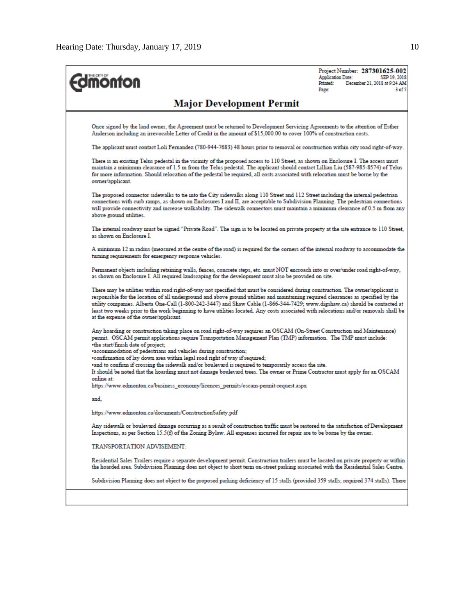| <b>nonton</b>                                                                                                                                                                                                                                                                                                                                                                                                                                                                                                                                                                             | <b>Application Date:</b><br>Printed:<br>Page: | Project Number: 287301625-002<br>SEP 19, 2018<br>December 21, 2018 at 9:24 AM<br>3 <sub>0</sub> f <sub>5</sub> |
|-------------------------------------------------------------------------------------------------------------------------------------------------------------------------------------------------------------------------------------------------------------------------------------------------------------------------------------------------------------------------------------------------------------------------------------------------------------------------------------------------------------------------------------------------------------------------------------------|-----------------------------------------------|----------------------------------------------------------------------------------------------------------------|
| <b>Major Development Permit</b>                                                                                                                                                                                                                                                                                                                                                                                                                                                                                                                                                           |                                               |                                                                                                                |
| Once signed by the land owner, the Agreement must be returned to Development Servicing Agreements to the attention of Esther<br>Anderson including an irrevocable Letter of Credit in the amount of \$15,000.00 to cover 100% of construction costs.                                                                                                                                                                                                                                                                                                                                      |                                               |                                                                                                                |
| The applicant must contact Loli Fernandez (780-944-7683) 48 hours prior to removal or construction within city road right-of-way.                                                                                                                                                                                                                                                                                                                                                                                                                                                         |                                               |                                                                                                                |
| There is an existing Telus pedestal in the vicinity of the proposed access to 110 Street, as shown on Enclosure I. The access must<br>maintain a minimum clearance of 1.5 m from the Telus pedestal. The applicant should contact Lillian Liu (587-985-8574) of Telus<br>for more information. Should relocation of the pedestal be required, all costs associated with relocation must be borne by the<br>owner/applicant.                                                                                                                                                               |                                               |                                                                                                                |
| The proposed connector sidewalks to tie into the City sidewalks along 110 Street and 112 Street including the internal pedestrian<br>connections with curb ramps, as shown on Enclosures I and II, are acceptable to Subdivision Planning. The pedestrian connections<br>will provide connectivity and increase walkability. The sidewalk connectors must maintain a minimum clearance of 0.5 m from any<br>above ground utilities.                                                                                                                                                       |                                               |                                                                                                                |
| The internal roadway must be signed "Private Road". The sign is to be located on private property at the site entrance to 110 Street,<br>as shown on Enclosure I.                                                                                                                                                                                                                                                                                                                                                                                                                         |                                               |                                                                                                                |
| A minimum 12 m radius (measured at the centre of the road) is required for the corners of the internal roadway to accommodate the<br>turning requirements for emergency response vehicles.                                                                                                                                                                                                                                                                                                                                                                                                |                                               |                                                                                                                |
| Permanent objects including retaining walls, fences, concrete steps, etc. must NOT encroach into or over/under road right-of-way,<br>as shown on Enclosure I. All required landscaping for the development must also be provided on site.                                                                                                                                                                                                                                                                                                                                                 |                                               |                                                                                                                |
| There may be utilities within road right-of-way not specified that must be considered during construction. The owner/applicant is<br>responsible for the location of all underground and above ground utilities and maintaining required clearances as specified by the<br>utility companies. Alberta One-Call (1-800-242-3447) and Shaw Cable (1-866-344-7429; www.digshaw.ca) should be contacted at<br>least two weeks prior to the work beginning to have utilities located. Any costs associated with relocations and/or removals shall be<br>at the expense of the owner/applicant. |                                               |                                                                                                                |
| Any hoarding or construction taking place on road right-of-way requires an OSCAM (On-Street Construction and Maintenance)<br>permit. OSCAM permit applications require Transportation Management Plan (TMP) information. The TMP must include:<br>.the start/finish date of project;                                                                                                                                                                                                                                                                                                      |                                               |                                                                                                                |
| •accommodation of pedestrians and vehicles during construction;<br>•confirmation of lay down area within legal road right of way if required;                                                                                                                                                                                                                                                                                                                                                                                                                                             |                                               |                                                                                                                |
| and to confirm if crossing the sidewalk and/or boulevard is required to temporarily access the site.<br>It should be noted that the hoarding must not damage boulevard trees. The owner or Prime Contractor must apply for an OSCAM<br>online at:                                                                                                                                                                                                                                                                                                                                         |                                               |                                                                                                                |
| https://www.edmonton.ca/business_economy/licences_permits/oscam-permit-request.aspx                                                                                                                                                                                                                                                                                                                                                                                                                                                                                                       |                                               |                                                                                                                |
| and,                                                                                                                                                                                                                                                                                                                                                                                                                                                                                                                                                                                      |                                               |                                                                                                                |
| https://www.edmonton.ca/documents/ConstructionSafety.pdf                                                                                                                                                                                                                                                                                                                                                                                                                                                                                                                                  |                                               |                                                                                                                |
| Any sidewalk or boulevard damage occurring as a result of construction traffic must be restored to the satisfaction of Development<br>Inspections, as per Section 15.5(f) of the Zoning Bylaw. All expenses incurred for repair are to be borne by the owner.                                                                                                                                                                                                                                                                                                                             |                                               |                                                                                                                |
| TRANSPORTATION ADVISEMENT:                                                                                                                                                                                                                                                                                                                                                                                                                                                                                                                                                                |                                               |                                                                                                                |
| Residential Sales Trailers require a separate development permit. Construction trailers must be located on private property or within<br>the hoarded area. Subdivision Planning does not object to short term on-street parking associated with the Residential Sales Centre.                                                                                                                                                                                                                                                                                                             |                                               |                                                                                                                |
| Subdivision Planning does not object to the proposed parking deficiency of 15 stalls (provided 359 stalls; required 374 stalls). There                                                                                                                                                                                                                                                                                                                                                                                                                                                    |                                               |                                                                                                                |
|                                                                                                                                                                                                                                                                                                                                                                                                                                                                                                                                                                                           |                                               |                                                                                                                |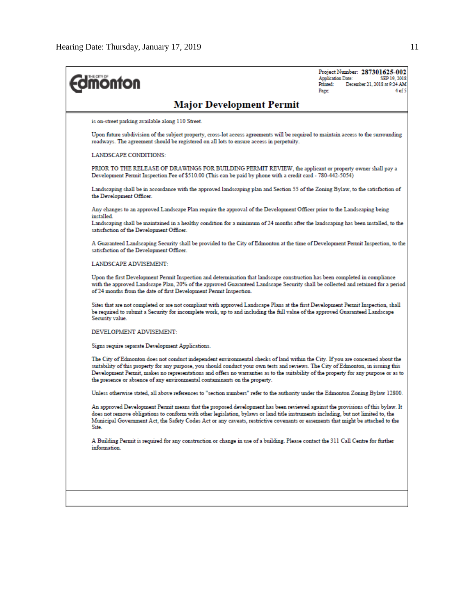| <b>Edmonton</b>                                                                                                                                                                                                                                                                                                                                                                                                                                                                            | Project Number: 287301625-002<br>SEP 19, 2018<br><b>Application Date:</b><br>Printed:<br>December 21, 2018 at 9:24 AM<br>$4$ of $\cdot$<br>Page: |
|--------------------------------------------------------------------------------------------------------------------------------------------------------------------------------------------------------------------------------------------------------------------------------------------------------------------------------------------------------------------------------------------------------------------------------------------------------------------------------------------|--------------------------------------------------------------------------------------------------------------------------------------------------|
| <b>Major Development Permit</b>                                                                                                                                                                                                                                                                                                                                                                                                                                                            |                                                                                                                                                  |
| is on-street parking available along 110 Street.                                                                                                                                                                                                                                                                                                                                                                                                                                           |                                                                                                                                                  |
| Upon future subdivision of the subject property, cross-lot access agreements will be required to maintain access to the surrounding<br>roadways. The agreement should be registered on all lots to ensure access in perpetuity.                                                                                                                                                                                                                                                            |                                                                                                                                                  |
| <b>LANDSCAPE CONDITIONS:</b>                                                                                                                                                                                                                                                                                                                                                                                                                                                               |                                                                                                                                                  |
| PRIOR TO THE RELEASE OF DRAWINGS FOR BUILDING PERMIT REVIEW, the applicant or property owner shall pay a<br>Development Permit Inspection Fee of \$510.00 (This can be paid by phone with a credit card - 780-442-5054)                                                                                                                                                                                                                                                                    |                                                                                                                                                  |
| Landscaping shall be in accordance with the approved landscaping plan and Section 55 of the Zoning Bylaw, to the satisfaction of<br>the Development Officer.                                                                                                                                                                                                                                                                                                                               |                                                                                                                                                  |
| Any changes to an approved Landscape Plan require the approval of the Development Officer prior to the Landscaping being<br>installed.<br>Landscaping shall be maintained in a healthy condition for a minimum of 24 months after the landscaping has been installed, to the<br>satisfaction of the Development Officer.                                                                                                                                                                   |                                                                                                                                                  |
| A Guaranteed Landscaping Security shall be provided to the City of Edmonton at the time of Development Permit Inspection, to the<br>satisfaction of the Development Officer.                                                                                                                                                                                                                                                                                                               |                                                                                                                                                  |
| LANDSCAPE ADVISEMENT:                                                                                                                                                                                                                                                                                                                                                                                                                                                                      |                                                                                                                                                  |
| Upon the first Development Permit Inspection and determination that landscape construction has been completed in compliance<br>with the approved Landscape Plan, 20% of the approved Guaranteed Landscape Security shall be collected and retained for a period<br>of 24 months from the date of first Development Permit Inspection.                                                                                                                                                      |                                                                                                                                                  |
| Sites that are not completed or are not compliant with approved Landscape Plans at the first Development Permit Inspection, shall<br>be required to submit a Security for incomplete work, up to and including the full value of the approved Guaranteed Landscape<br>Security value.                                                                                                                                                                                                      |                                                                                                                                                  |
| DEVELOPMENT ADVISEMENT:                                                                                                                                                                                                                                                                                                                                                                                                                                                                    |                                                                                                                                                  |
| Signs require separate Development Applications.                                                                                                                                                                                                                                                                                                                                                                                                                                           |                                                                                                                                                  |
| The City of Edmonton does not conduct independent environmental checks of land within the City. If you are concerned about the<br>suitability of this property for any purpose, you should conduct your own tests and reviews. The City of Edmonton, in issuing this<br>Development Permit, makes no representations and offers no warranties as to the suitability of the property for any purpose or as to<br>the presence or absence of any environmental contaminants on the property. |                                                                                                                                                  |
| Unless otherwise stated, all above references to "section numbers" refer to the authority under the Edmonton Zoning Bylaw 12800.                                                                                                                                                                                                                                                                                                                                                           |                                                                                                                                                  |
| An approved Development Permit means that the proposed development has been reviewed against the provisions of this bylaw. It<br>does not remove obligations to conform with other legislation, bylaws or land title instruments including, but not limited to, the<br>Municipal Government Act, the Safety Codes Act or any caveats, restrictive covenants or easements that might be attached to the<br>Site.                                                                            |                                                                                                                                                  |
| A Building Permit is required for any construction or change in use of a building. Please contact the 311 Call Centre for further<br>information.                                                                                                                                                                                                                                                                                                                                          |                                                                                                                                                  |
|                                                                                                                                                                                                                                                                                                                                                                                                                                                                                            |                                                                                                                                                  |
|                                                                                                                                                                                                                                                                                                                                                                                                                                                                                            |                                                                                                                                                  |
|                                                                                                                                                                                                                                                                                                                                                                                                                                                                                            |                                                                                                                                                  |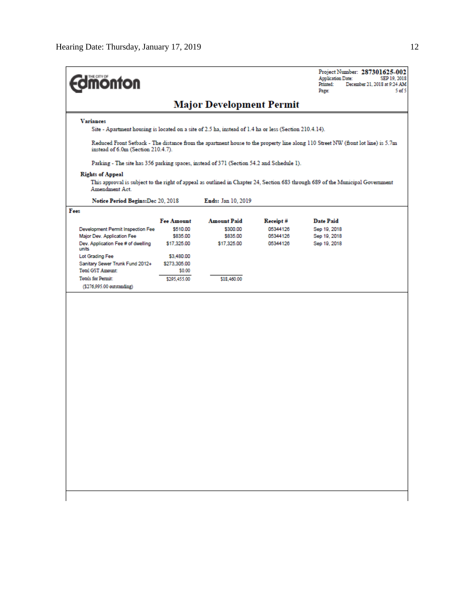| <b>monton</b>                                                                                                                                                         |                               |                                |                      | Project Number: 287301625-002<br><b>Application Date:</b><br>SEP 19, 2018<br>Printed:<br>December 21, 2018 at 9:24 AM<br>Page:<br>5 <sub>of</sub> 5 |  |  |
|-----------------------------------------------------------------------------------------------------------------------------------------------------------------------|-------------------------------|--------------------------------|----------------------|-----------------------------------------------------------------------------------------------------------------------------------------------------|--|--|
| <b>Major Development Permit</b>                                                                                                                                       |                               |                                |                      |                                                                                                                                                     |  |  |
| <b>Variances</b><br>Site - Apartment housing is located on a site of 2.5 ha, instead of 1.4 ha or less (Section 210.4.14).                                            |                               |                                |                      |                                                                                                                                                     |  |  |
| Reduced Front Setback - The distance from the apartment house to the property line along 110 Street NW (front lot line) is 5.7m<br>instead of 6.0m (Section 210.4.7). |                               |                                |                      |                                                                                                                                                     |  |  |
| Parking - The site has 356 parking spaces, instead of 371 (Section 54.2 and Schedule 1).                                                                              |                               |                                |                      |                                                                                                                                                     |  |  |
| <b>Rights of Appeal</b><br>Amendment Act.                                                                                                                             |                               |                                |                      | This approval is subject to the right of appeal as outlined in Chapter 24, Section 683 through 689 of the Municipal Government                      |  |  |
| Notice Period Begins: Dec 20, 2018                                                                                                                                    |                               | <b>Ends:</b> Jan 10, 2019      |                      |                                                                                                                                                     |  |  |
| Fees                                                                                                                                                                  |                               |                                |                      |                                                                                                                                                     |  |  |
| <b>Development Permit Inspection Fee</b>                                                                                                                              | <b>Fee Amount</b><br>\$510.00 | <b>Amount Paid</b><br>\$300.00 | Receipt#<br>05344126 | <b>Date Paid</b><br>Sep 19, 2018                                                                                                                    |  |  |
| Major Dev. Application Fee<br>Dev. Application Fee # of dwelling                                                                                                      | \$835.00<br>\$17,325.00       | \$835.00<br>\$17,325.00        | 05344126<br>05344126 | Sep 19, 2018<br>Sep 19, 2018                                                                                                                        |  |  |
| units                                                                                                                                                                 |                               |                                |                      |                                                                                                                                                     |  |  |
| Lot Grading Fee<br>Sanitary Sewer Trunk Fund 2012+                                                                                                                    | \$3,480.00<br>\$273,305.00    |                                |                      |                                                                                                                                                     |  |  |
| <b>Total GST Amount:</b>                                                                                                                                              | \$0.00                        |                                |                      |                                                                                                                                                     |  |  |
| <b>Totals for Permit:</b>                                                                                                                                             | \$295,455.00                  | \$18,460.00                    |                      |                                                                                                                                                     |  |  |
| (\$276,995.00 outstanding)                                                                                                                                            |                               |                                |                      |                                                                                                                                                     |  |  |
|                                                                                                                                                                       |                               |                                |                      |                                                                                                                                                     |  |  |
|                                                                                                                                                                       |                               |                                |                      |                                                                                                                                                     |  |  |
|                                                                                                                                                                       |                               |                                |                      |                                                                                                                                                     |  |  |